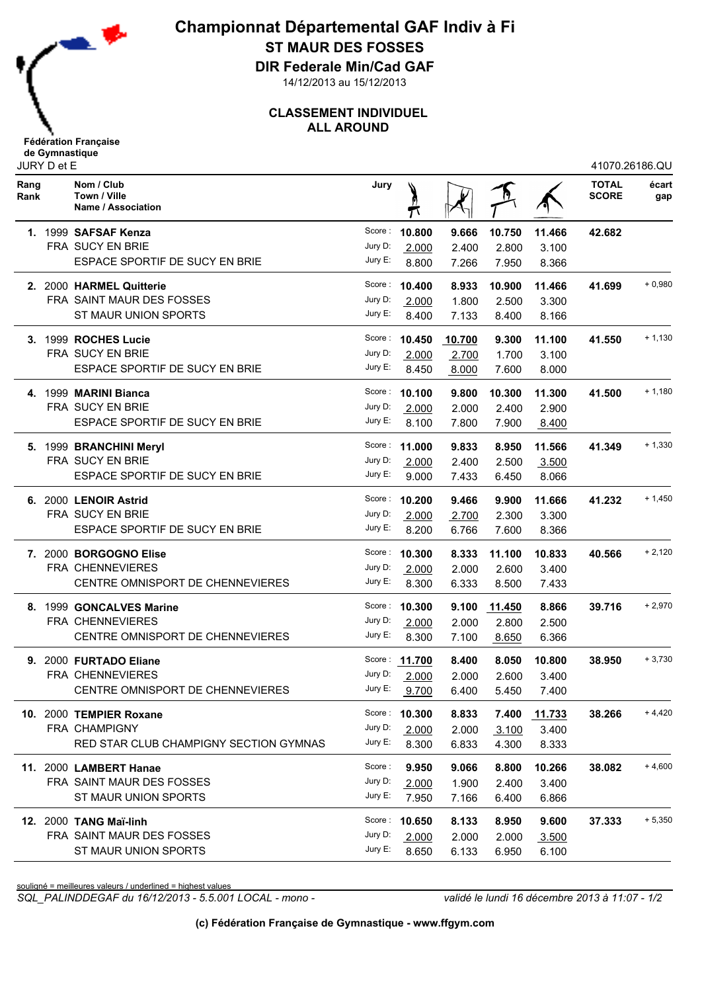

**Championnat Départemental GAF Indiv à Fi ST MAUR DES FOSSES**

**DIR Federale Min/Cad GAF**

14/12/2013 au 15/12/2013

## **CLASSEMENT INDIVIDUEL ALL AROUND**

| Rang<br>Rank | Nom / Club<br>Town / Ville<br>Name / Association | Jury       |               |        |        |              | <b>TOTAL</b><br><b>SCORE</b> | écart<br>gap |
|--------------|--------------------------------------------------|------------|---------------|--------|--------|--------------|------------------------------|--------------|
|              | 1. 1999 SAFSAF Kenza                             | Score :    | 10.800        | 9.666  | 10.750 | 11.466       | 42.682                       |              |
|              | FRA SUCY EN BRIE                                 | Jury D:    | 2.000         | 2.400  | 2.800  | 3.100        |                              |              |
|              | ESPACE SPORTIF DE SUCY EN BRIE                   | Jury E:    | 8.800         | 7.266  | 7.950  | 8.366        |                              |              |
|              | 2. 2000 HARMEL Quitterie                         | Score :    | 10.400        | 8.933  | 10.900 | 11.466       | 41.699                       | $+0,980$     |
|              | FRA SAINT MAUR DES FOSSES                        | Jury D:    | 2.000         | 1.800  | 2.500  | 3.300        |                              |              |
|              | ST MAUR UNION SPORTS                             | Jury E:    | 8.400         | 7.133  | 8.400  | 8.166        |                              |              |
|              | 3. 1999 ROCHES Lucie                             | Score :    | 10.450        | 10.700 | 9.300  | 11.100       | 41.550                       | $+1,130$     |
|              | FRA SUCY EN BRIE                                 | Jury D:    | 2.000         | 2.700  | 1.700  | 3.100        |                              |              |
|              | ESPACE SPORTIF DE SUCY EN BRIE                   | Jury E:    | 8.450         | 8.000  | 7.600  | 8.000        |                              |              |
|              | 4. 1999 MARINI Bianca                            |            | Score: 10.100 | 9.800  | 10.300 | 11.300       | 41.500                       | $+1,180$     |
|              | <b>FRA SUCY EN BRIE</b>                          | Jury D:    | 2.000         | 2.000  | 2.400  | 2.900        |                              |              |
|              | ESPACE SPORTIF DE SUCY EN BRIE                   | Jury E:    | 8.100         | 7.800  | 7.900  | 8.400        |                              |              |
|              | 5. 1999 BRANCHINI Meryl                          | Score :    | 11.000        | 9.833  | 8.950  | 11.566       | 41.349                       | $+1,330$     |
|              | FRA SUCY EN BRIE                                 | Jury D:    | 2.000         | 2.400  | 2.500  | 3.500        |                              |              |
|              | ESPACE SPORTIF DE SUCY EN BRIE                   | Jury E:    | 9.000         | 7.433  | 6.450  | 8.066        |                              |              |
|              | 6. 2000 LENOIR Astrid                            | Score :    | 10.200        | 9.466  | 9.900  | 11.666       | 41.232                       | $+1,450$     |
|              | FRA SUCY EN BRIE                                 | Jury D:    | 2.000         | 2.700  | 2.300  | 3.300        |                              |              |
|              | ESPACE SPORTIF DE SUCY EN BRIE                   | Jury E:    | 8.200         | 6.766  | 7.600  | 8.366        |                              |              |
|              | 7. 2000 BORGOGNO Elise                           | Score:     | 10.300        | 8.333  | 11.100 | 10.833       | 40.566                       | $+2,120$     |
|              | FRA CHENNEVIERES                                 | Jury D:    | 2.000         | 2.000  | 2.600  | 3.400        |                              |              |
|              | CENTRE OMNISPORT DE CHENNEVIERES                 | Jury E:    | 8.300         | 6.333  | 8.500  | 7.433        |                              |              |
|              | 8. 1999 GONCALVES Marine                         |            | Score: 10.300 | 9.100  | 11.450 | 8.866        | 39.716                       | $+2,970$     |
|              | FRA CHENNEVIERES                                 | Jury D:    | 2.000         | 2.000  | 2.800  | 2.500        |                              |              |
|              | CENTRE OMNISPORT DE CHENNEVIERES                 | Jury E:    | 8.300         | 7.100  | 8.650  | 6.366        |                              |              |
|              | 9. 2000 FURTADO Eliane                           |            | Score: 11.700 | 8.400  | 8.050  | 10.800       | 38.950                       | $+3,730$     |
|              | FRA CHENNEVIERES                                 | Jury D:    | 2.000         | 2.000  | 2.600  | 3.400        |                              |              |
|              | CENTRE OMNISPORT DE CHENNEVIERES                 | Jury E:    | 9.700         | 6.400  | 5.450  | 7.400        |                              |              |
|              | 10. 2000 TEMPIER Roxane                          |            | Score: 10.300 | 8.833  |        | 7.400 11.733 | 38.266                       | $+4,420$     |
|              | FRA CHAMPIGNY                                    | Jury D:    | 2.000         | 2.000  | 3.100  | 3.400        |                              |              |
|              | RED STAR CLUB CHAMPIGNY SECTION GYMNAS           | Jury E:    | 8.300         | 6.833  | 4.300  | 8.333        |                              |              |
|              | 11. 2000 LAMBERT Hanae                           | Score :    | 9.950         | 9.066  | 8.800  | 10.266       | 38.082                       | $+4,600$     |
|              | FRA SAINT MAUR DES FOSSES                        | Jury D:    | 2.000         | 1.900  | 2.400  | 3.400        |                              |              |
|              | ST MAUR UNION SPORTS                             | Jury E:    | 7.950         | 7.166  | 6.400  | 6.866        |                              |              |
|              | <b>12. 2000 TANG Maï-linh</b>                    |            | Score: 10.650 | 8.133  | 8.950  | 9.600        | 37.333                       | $+5,350$     |
|              | FRA SAINT MAUR DES FOSSES                        | Jury D:    | 2.000         | 2.000  | 2.000  | 3.500        |                              |              |
|              | ST MAUR UNION SPORTS                             | Jury $E$ : | 8.650         | 6.133  | 6.950  | 6.100        |                              |              |
|              |                                                  |            |               |        |        |              |                              |              |

souligné = meilleures valeurs / underlined = highest values

*SQL\_PALINDDEGAF du 16/12/2013 - 5.5.001 LOCAL - mono - validé le lundi 16 décembre 2013 à 11:07 - 1/2*

41070.26186.QU